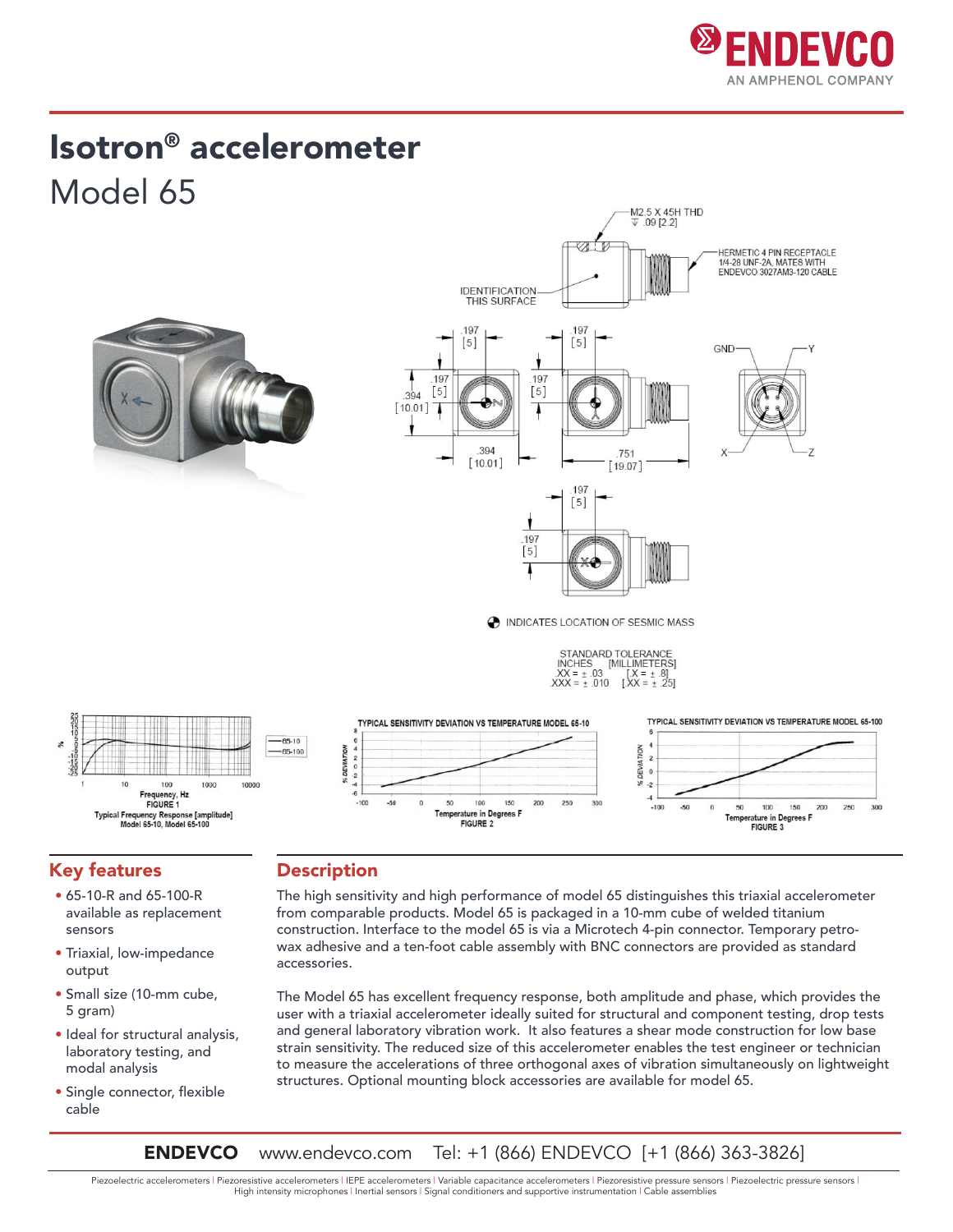

## Isotron® accelerometer Model 65





INCHES [MILLIMETERS]<br> $XX = \pm .03$  [ $X = \pm .8$ ]<br> $XXX = \pm .010$  [ $XX = \pm .25$ ]

![](_page_0_Figure_5.jpeg)

#### Key features

- 65-10-R and 65-100-R available as replacement sensors
- Triaxial, low-impedance output
- Small size (10-mm cube, 5 gram)
- Ideal for structural analysis, laboratory testing, and modal analysis
- Single connector, flexible cable

#### **Description**

The high sensitivity and high performance of model 65 distinguishes this triaxial accelerometer from comparable products. Model 65 is packaged in a 10-mm cube of welded titanium construction. Interface to the model 65 is via a Microtech 4-pin connector. Temporary petrowax adhesive and a ten-foot cable assembly with BNC connectors are provided as standard accessories.

The Model 65 has excellent frequency response, both amplitude and phase, which provides the user with a triaxial accelerometer ideally suited for structural and component testing, drop tests and general laboratory vibration work. It also features a shear mode construction for low base strain sensitivity. The reduced size of this accelerometer enables the test engineer or technician to measure the accelerations of three orthogonal axes of vibration simultaneously on lightweight structures. Optional mounting block accessories are available for model 65.

**ENDEVCO** www.endevco.com Tel: +1 (866) ENDEVCO [+1 (866) 363-3826]

Piezoelectric accelerometers | Piezoresistive accelerometers | IEPE accelerometers | Variable capacitance accelerometers | Piezoresistive pressure sensors | Piezoelectric pressure sensors | High intensity microphones | Inertial sensors | Signal conditioners and supportive instrumentation | Cable assemblies